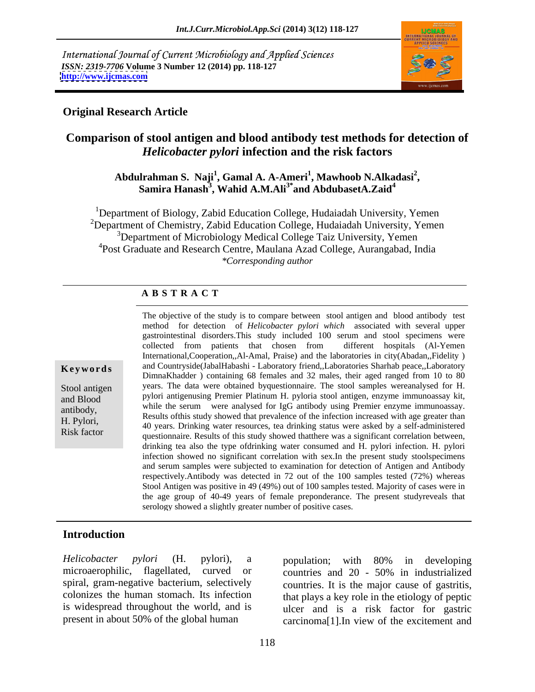International Journal of Current Microbiology and Applied Sciences *ISSN: 2319-7706* **Volume 3 Number 12 (2014) pp. 118-127 <http://www.ijcmas.com>**



## **Original Research Article**

# **Comparison of stool antigen and blood antibody test methods for detection of**  *Helicobacter pylori* **infection and the risk factors**

### **Abdulrahman S. Naji<sup>1</sup> , Gamal A. A-Ameri<sup>1</sup> , Mawhoob N.Alkadasi<sup>2</sup>** lrahman S. Naji<sup>1</sup>, Gamal A. A-Ameri<sup>1</sup>, Mawhoob N.Alkadasi<sup>2</sup>,<br>Samira Hanash<sup>3</sup>, Wahid A.M.Ali<sup>3\*</sup>and AbdubasetA.Zaid<sup>4</sup> **and AbdubasetA.Zaid<sup>4</sup>**

<sup>1</sup>Department of Biology, Zabid Education College, Hudaiadah University, Yemen  $2$ Department of Chemistry, Zabid Education College, Hudaiadah University, Yemen <sup>3</sup>Department of Microbiology Medical College Taiz University, Yemen <sup>4</sup>Post Graduate and Research Centre, Maulana Azad College, Aurangabad, India *\*Corresponding author* 

### **A B S T R A C T**

**Ke ywo rds** and Countryside(JabalHabashi - Laboratory friend,,Laboratories Sharhab peace,,Laboratory Stool antigen years. The data were obtained byquestionnaire. The stool samples wereanalysed for H. and Blood pylori antigenusing Premier Platinum H. pyloria stool antigen, enzyme immunoassay kit, antibody,<br>Results of this study showed that prevalence of the infection increased with age greater than H. Pylori, 40 years. Drinking water resources, tea drinking status were asked by a self-administered Risk factor<br>
questionnaire. Results of this study showed that there was a significant correlation between, The objective of the study is to compare between stool antigen and blood antibody test method for detection of *Helicobacter pylori which* associated with several upper gastrointestinal disorders.This study included 100 serum and stool specimens were collected from patients that chosen from different hospitals (Al-Yemen International,Cooperation,,Al-Amal, Praise) and the laboratories in city(Abadan,,Fidelity ) DimnaKhadder ) containing 68 females and 32 males, their aged ranged from 10 to 80 while the serum were analysed for IgG antibody using Premier enzyme immunoassay. drinking tea also the type ofdrinking water consumed and H. pylori infection. H. pylori infection showed no significant correlation with sex.In the present study stoolspecimens and serum samples were subjected to examination for detection of Antigen and Antibody respectively.Antibody was detected in 72 out of the 100 samples tested (72%) whereas Stool Antigen was positive in 49 (49%) out of 100 samples tested. Majority of cases were in the age group of 40-49 years of female preponderance. The present studyreveals that serology showed a slightly greater number of positive cases.

### **Introduction**

*Helicobacter pylori* (H. pylori), a microaerophilic, flagellated, curved or countries and 20 - 50% in industrialized spiral, gram-negative bacterium, selectively countries. It is the major cause of gastritis, colonizes the human stomach. Its infection that plays a key role in the etiology of peptic is widespread throughout the world, and is present in about 50% of the global human

population; with 80% in developing countries and 20 - 50% in industrialized ulcer and is a risk factor for gastric carcinoma[1].In view of the excitement and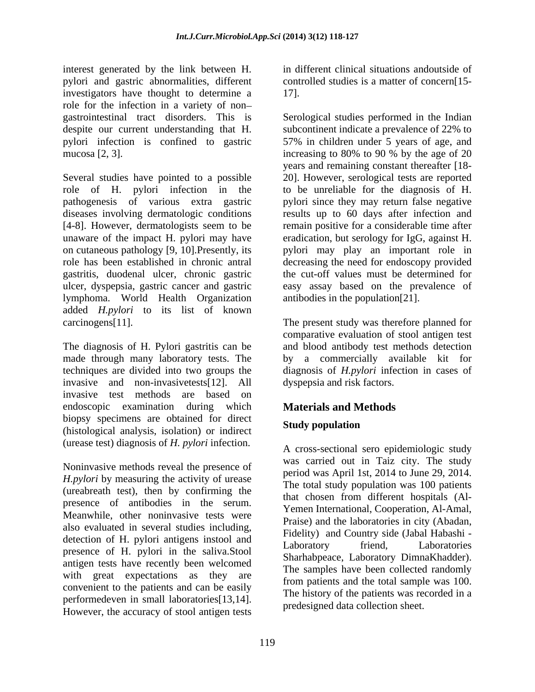interest generated by the link between H. pylori and gastric abnormalities, different investigators have thought to determine a role for the infection in a variety of non

role of H. pylori infection in the pathogenesis of various extra gastric pylori since they may return false negative diseases involving dermatologic conditions [4-8]. However, dermatologists seem to be unaware of the impact H. pylori may have eradication, but serology for IgG, against H. on cutaneous pathology [9, 10].Presently, its pylori may play an important role in role has been established in chronic antral decreasing the need for endoscopy provided gastritis, duodenal ulcer, chronic gastric ulcer, dyspepsia, gastric cancer and gastric easy assay based on the prevalence of lymphoma. World Health Organization added *H.pylori* to its list of known carcinogens[11]. The present study was therefore planned for

The diagnosis of H. Pylori gastritis can be and blood antibody test methods detection made through many laboratory tests. The techniques are divided into two groups the diagnosis of *H.pylori* infection in cases of invasive and non-invasivetests[12]. All invasive test methods are based on endoscopic examination during which biopsy specimens are obtained for direct<br>
Study population (histological analysis, isolation) or indirect (urease test) diagnosis of *H. pylori* infection.

Noninvasive methods reveal the presence of *H.pylori* by measuring the activity of urease (ureabreath test), then by confirming the presence of antibodies in the serum. Meanwhile, other noninvasive tests were also evaluated in several studies including, detection of H. pylori antigens instool and<br>Laboratory friend, Laboratories presence of H. pylori in the saliva.Stool antigen tests have recently been welcomed with great expectations as they are convenient to the patients and can be easily performedeven in small laboratories[13,14]. However, the accuracy of stool antigen tests

in different clinical situations andoutside of controlled studies is a matter of concern<sup>[15--]</sup> 17].

gastrointestinal tract disorders. This is Serological studies performed in the Indian despite our current understanding that H. subcontinent indicate a prevalence of 22% to pylori infection is confined to gastric 57% in children under 5 years of age, and mucosa [2, 3].<br>Several studies have pointed to a possible series and remaining constant thereafter [18-<br>Several studies have pointed to a possible 20]. However, serological tests are reported increasing to 80% to 90 % by the age of 20 years and remaining constant thereafter [18- 20]. However, serological tests are reported to be unreliable for the diagnosis of H. results up to 60 days after infection and remain positive for a considerable time after the cut-off values must be determined for antibodies in the population[21].

> comparative evaluation of stool antigen test by a commercially available kit for dyspepsia and risk factors.

# **Materials and Methods**

# **Study population**

A cross-sectional sero epidemiologic study was carried out in Taiz city. The study period was April 1st, 2014 to June 29, 2014. The total study population was 100 patients that chosen from different hospitals (Al- Yemen International, Cooperation, Al-Amal, Praise) and the laboratories in city (Abadan, Fidelity) and Country side (Jabal Habashi - Laboratory friend, Laboratories Sharhabpeace, Laboratory DimnaKhadder). The samples have been collected randomly from patients and the total sample was 100. The history of the patients was recorded in a predesigned data collection sheet.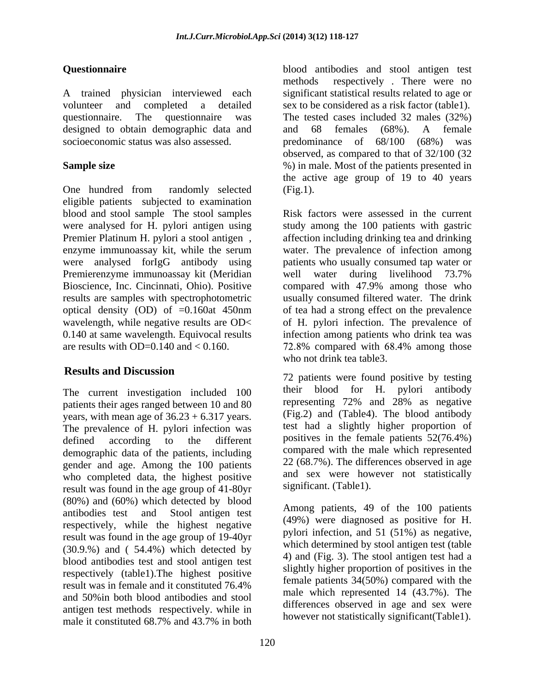designed to obtain demographic data and and 68 females (68%). A female

eligible patients subjected to examination blood and stool sample The stool samples Premier Platinum H. pylori a stool antigen , Premierenzyme immunoassay kit (Meridian well water during livelihood 73.7% are results with OD=0.140 and  $< 0.160$ .  $\qquad \qquad$  72.8% compared with 68.4% among those

patients their ages ranged between 10 and 80 years, with mean age of  $36.23 + 6.317$  years. The prevalence of H. pylori infection was demographic data of the patients, including gender and age. Among the 100 patients who completed data, the highest positive result was found in the age group of 41-80yr (80%) and (60%) which detected by blood respectively, while the highest negative result was found in the age group of 19-40yr (30.9.%) and ( 54.4%) which detected by blood antibodies test and stool antigen test respectively (table1).The highest positive result was in female and it constituted 76.4% and 50%in both blood antibodies and stool antigen test methods respectively. while in male it constituted 68.7% and 43.7% in both movever not statistically significant (TableT).

**Questionnaire** blood antibodies and stool antigen test A trained physician interviewed each significant statistical results related to age or volunteer and completed a detailed sex to be considered as a risk factor (table1). questionnaire. The questionnaire was The tested cases included 32 males (32%) socioeconomic status was also assessed. predominance of 68/100 (68%) was Sample size **Sample size** (*Nost of the patients presented in* One hundred from randomly selected (Fig.1). methods respectively . There were no and 68 females (68%). A female observed, as compared to that of 32/100 (32 the active age group of 19 to 40 years (Fig.1).

were analysed for H. pylori antigen using study among the 100 patients with gastric enzyme immunoassay kit, while the serum water. The prevalence of infection among were analysed forIgG antibody using patients who usually consumed tap water or Bioscience, Inc. Cincinnati, Ohio). Positive compared with 47.9% among those who results are samples with spectrophotometric usually consumed filtered water. The drink optical density (OD) of =0.160at 450nm of tea had a strong effect on the prevalence wavelength, while negative results are OD< of H. pylori infection. The prevalence of 0.140 at same wavelength. Equivocal results infection among patients who drink teawas Risk factors were assessed in the current affection including drinking tea and drinking well water during livelihood 73.7% % compared with 68.4% among those who not drink tea table3.

**Results and Discussion** The current investigation included 100 their blood for H. pylori antibody defined according to the different positives in the female patients 52(76.4%) 72 patients were found positive by testing their blood for H. pylori antibody representing 72% and 28% as negative (Fig.2) and (Table4). The blood antibody test had a slightly higher proportion of compared with the male which represented 22 (68.7%). The differences observed in age and sex were however not statistically significant. (Table1).

antibodies test and Stool antigen test  $\frac{\text{Anong}}{\text{Area}}$  patients, 49 of the TOO patients Among patients, 49 of the 100 patients (49%) were diagnosed as positive for H. pylori infection, and 51 (51%) as negative, which determined by stool antigen test (table 4) and (Fig. 3). The stool antigen test had a slightly higher proportion of positives in the female patients 34(50%) compared with the male which represented 14 (43.7%). The differences observed in age and sex were however not statistically significant(Table1).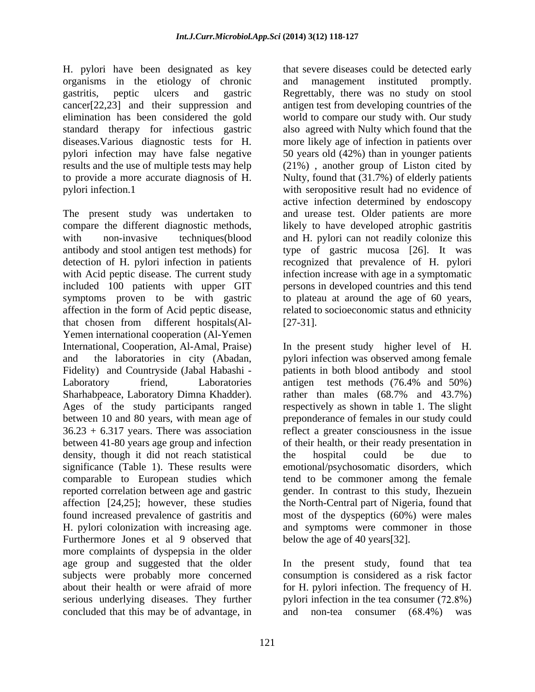organisms in the etiology of chronic standard therapy for infectious gastric

The present study was undertaken to and urease test. Older patients are more compare the different diagnostic methods, likely to have developed atrophic gastritis with non-invasive techniques(blood and H. pylori can not readily colonize this antibody and stool antigen test methods) for type of gastric mucosa [26]. It was detection of H. pylori infection in patients recognized that prevalence of H. pylori with Acid peptic disease. The current study infection increase with age in a symptomatic included 100 patients with upper GIT symptoms proven to be with gastric to plateau at around the age of 60 years, affection in the form of Acid peptic disease, related to socioeconomic status and ethnicity that chosen from different hospitals(Al- Yemen international cooperation (Al-Yemen International, Cooperation, Al-Amal, Praise) <br>and the laboratories in city (Abadan, a pylori infection was observed among female Fidelity) and Countryside (Jabal Habashi - Laboratory friend, Laboratories antigen test methods (76.4% and 50%) Sharhabpeace, Laboratory Dimna Khadder). Trather than males (68.7% and 43.7%) Ages of the study participants ranged between 10 and 80 years, with mean age of preponderance of femalesin our study could 36.23 + 6.317 years. There was association reflect a greater consciousnessin the issue between 41-80 years age group and infection of their health, or their ready presentation in density, though it did not reach statistical the hospital could be due significance (Table 1). These results were emotional/psychosomatic disorders, which comparable to European studies which reported correlation between age and gastric gender. In contrast to this study, Ihezuein affection [24,25]; however, these studies the North-Central part of Nigeria, found that found increased prevalence of gastritis and most of the dyspeptics (60%) were males H. pylori colonization with increasing age. and symptoms were commoner in those Furthermore Jones et al 9 observed that more complaints of dyspepsia in the older age group and suggested that the older age group and suggested that the older In the present study, found that tea subjects were probably more concerned consumption is considered as a risk factor about their health or were afraid of more for H. pylori infection. The frequency of H. serious underlying diseases. They further concluded that this may be of advantage, in and non-tea consumer (68.4%) was

H. pylori have been designated as key that severe diseases could be detected early gastritis, peptic ulcers and gastric Regrettably, there was no study on stool cancer[22,23] and their suppression and antigen test from developing countries of the elimination has been considered the gold world to compare our study with. Our study diseases. Various diagnostic tests for H. more likely age of infection in patients over pylori infection may have false negative 50 years old (42%) than in younger patients results and the use of multiple tests may help (21%) , another group of Liston cited by to provide a more accurate diagnosis of H. Nulty, found that (31.7%) of elderly patients pylori infection.1 with seropositive result had no evidence of and management instituted promptly. also agreed with Nulty which found that the active infection determined by endoscopy persons in developed countries and this tend  $[27-31]$ .

> In the present study higher level of H. pylori infection was observed among female patients in both blood antibody and stool antigen test methods (76.4% and 50%) rather than males (68.7% and 43.7%) respectively as shown in table 1. The slight the hospital could be due to tend to be commoner among the female below the age of 40 years[32].

pylori infection in the tea consumer  $(72.8\%)$ and non-tea consumer (68.4%) was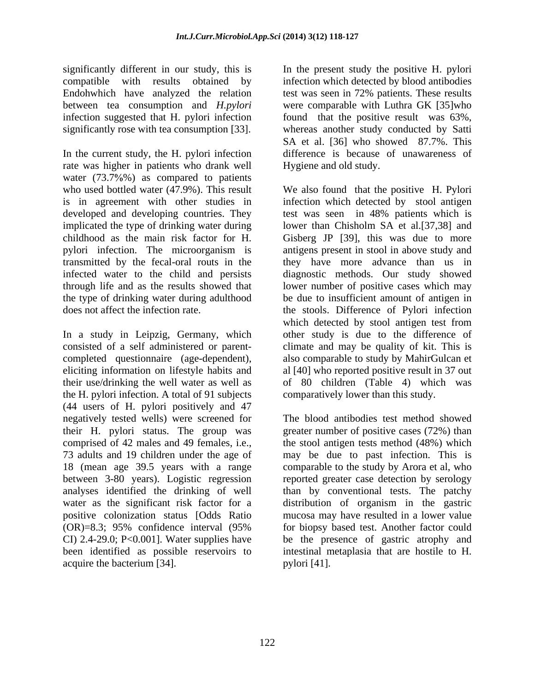significantly different in our study, this is In the present study the positive H. pylori compatible with results obtained by infection which detected by blood antibodies Endohwhich have analyzed the relation test was seen in 72% patients. These results between tea consumption and *H.pylori* were comparable with Luthra GK [35]who infection suggested that H. pylori infection significantly rose with tea consumption [33]. whereas another study conducted by Satti

In the current study, the H. pylori infection rate was higher in patients who drank well water  $(73.7\%)$  as compared to patients

In a study in Leipzig, Germany, which consisted of a self administered or parent- climate and may be quality of kit. This is completed questionnaire (age-dependent), also comparable to study by MahirGulcan et eliciting information on lifestyle habits and al [40] who reported positive result in 37 out their use/drinking the well water as well as of 80 children (Table 4) which was the H. pylori infection. A total of 91 subjects (44 users of H. pylori positively and 47 comprised of 42 males and 49 females, i.e., between 3-80 years). Logistic regression acquire the bacterium [34].

found that the positive result was 63%, SA et al. [36] who showed 87.7%. This difference is because of unawareness of Hygiene and old study.

who used bottled water (47.9%). This result We also found that the positive H. Pylori is in agreement with other studies in infection which detected by stool antigen developed and developing countries. They test was seen in 48% patients which is implicated the type of drinking water during lower than Chisholm SA et al.[37,38] and childhood as the main risk factor for H. Gisberg JP [39], this was due to more pylori infection. The microorganism is antigens present in stool in above study and transmitted by the fecal-oral routs in the they have more advance than us in infected water to the child and persists diagnostic methods. Our study showed through life and as the results showed that lower number of positive cases which may the type of drinking water during adulthood be due to insufficient amount of antigen in does not affect the infection rate. the stools. Difference of Pylori infection which detected by stool antigen test from other study is due to the difference of comparatively lower than this study.

negatively tested wells) were screened for The blood antibodies test method showed their H. pylori status. The group was greater number of positive cases (72%) than 73 adults and 19 children under the age of may be due to past infection. This is 18 (mean age 39.5 years with a range comparable to the study by Arora et al, who analyses identified the drinking of well than by conventional tests. The patchy water as the significant risk factor for a distribution of organism in the gastric positive colonization status [Odds Ratio mucosa may have resulted in a lower value (OR)=8.3; 95% confidence interval (95% CI) 2.4-29.0; P<0.001]. Water supplies have be the presence of gastric atrophy and been identified as possible reservoirs to intestinal metaplasia that are hostile to H. the stool antigen tests method  $(48%)$  which reported greater case detection by serology for biopsy based test. Another factor could pylori [41].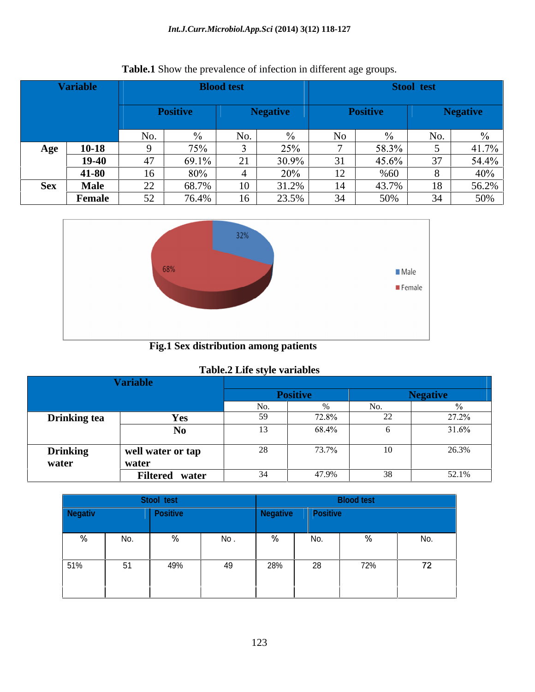### *Int.J.Curr.Microbiol.App.Sci* **(2014) 3(12) 118-127**

|     | <b>Variable</b> |     |        | <b>Blood test</b> |                 |     | <b>Stool test</b>                         |      |                     |
|-----|-----------------|-----|--------|-------------------|-----------------|-----|-------------------------------------------|------|---------------------|
|     |                 |     |        |                   |                 |     |                                           |      |                     |
|     |                 |     |        |                   |                 |     |                                           |      |                     |
|     |                 | No. | $\sim$ | INU.              |                 | NO. |                                           | No.  |                     |
|     | Age $10-18$     |     | 75%    |                   | 25%             |     | 38.3%                                     |      | $-41.7\%$           |
|     | 19-40           |     | 69.1   |                   | 30.9%           |     | 45.6%                                     | $ -$ | 54.4%               |
|     | 41-80           |     | 80%    |                   | 20%             |     | %60                                       |      | $\Delta$ 00<br>-40% |
| Sex | Male            |     | 68.7   |                   | 31.2%           | 14  |                                           |      | J∪.∠,               |
|     | Female          |     | 76.4%  |                   | $23.5\%$<br>້ີ່ |     | $\epsilon$ <sup><math>\alpha</math></sup> |      | 50%                 |





 **Fig.1 Sex distribution among patients** 

## **Table.2 Life style variables**

|                     | ariable                        |           |          |          |
|---------------------|--------------------------------|-----------|----------|----------|
|                     |                                |           | sitive   |          |
|                     |                                |           |          |          |
| <b>Drinking tea</b> | Yes                            |           |          |          |
|                     | N <sub>0</sub>                 |           | 68.4%    | $31.6\%$ |
|                     |                                |           |          |          |
| <b>Drinking</b>     | $\mathsf{I}$ well water or tap |           | $73.7\%$ | 20.3%    |
| water               | water                          |           |          |          |
|                     | Filtered water                 | <u>зл</u> | 17 9%    | 52.1%    |

| <b>Negativ</b> |     | Positive                 |     |     |     |     |     |
|----------------|-----|--------------------------|-----|-----|-----|-----|-----|
|                | No. | $\overline{\phantom{a}}$ | No. |     | No. |     | No. |
|                |     |                          |     |     |     |     |     |
| 51%            | 51  | 49%                      | 49  | 28% | ້ົ  | 72% | 72  |
|                |     |                          |     |     |     |     |     |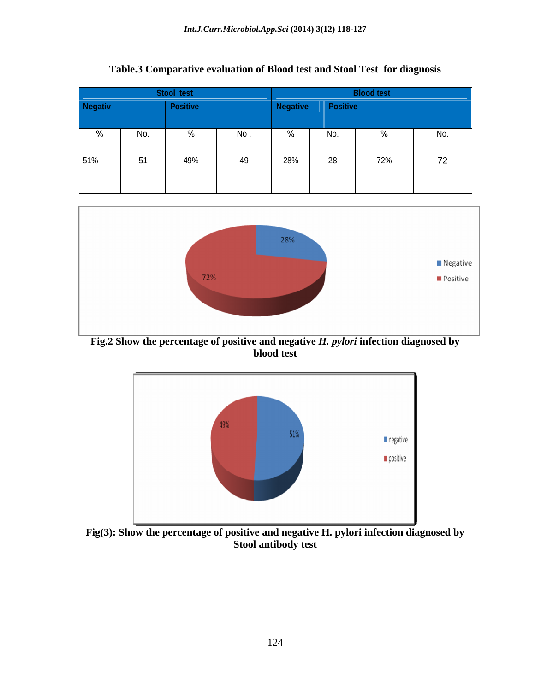| <b>Negativ</b>   |     |      |     |     |     |            |
|------------------|-----|------|-----|-----|-----|------------|
| No.              |     |      |     |     |     |            |
| 51%<br><b>E1</b> | 49% | - 49 | 28% | $-$ | 72% | $\sqrt{2}$ |

**Table.3 Comparative evaluation of Blood test and Stool Test for diagnosis**



**Fig.2 Show the percentage of positive and negative** *H. pylori* **infection diagnosed by blood test**



**Fig(3): Show the percentage of positive and negative H. pylori infection diagnosed by Stool antibody test**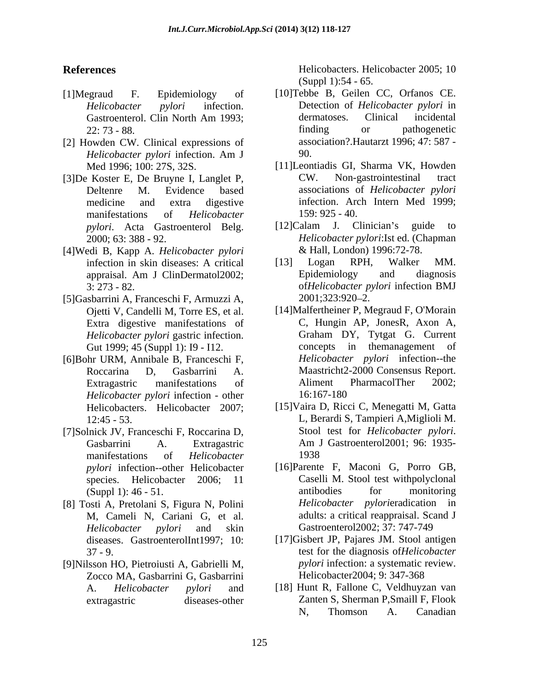- 
- [2] Howden CW. Clinical expressions of associated assets the distribution of the distribution of the distribution of the distribution of the distribution of the distribution of the distribution of the distribution of the d *Helicobacter pylori* infection. Am J
- manifestations of *Helicobacter*
- [4]Wedi B, Kapp A. *Helicobacter pylori*
- [5]Gasbarrini A, Franceschi F, Armuzzi A, *Helicobacter pylori* gastric infection. Gut 1999; 45 (Suppl 1): I9 - I12.
- *Helicobacter pylori* infection other
- manifestations of *Helicobacter*
- [8] Tosti A, Pretolani S, Figura N, Polini M, Cameli N, Cariani G, et al. diseases. GastroenterolInt1997; 10:
- [9]Nilsson HO, Pietroiusti A, Gabrielli M, Zocco MA, Gasbarrini G, Gasbarrini

**References** Helicobacters. Helicobacter 2005; 10 (Suppl 1):54 - 65.

- [1]Megraud F. Epidemiology of [10]Tebbe B, Geilen CC, Orfanos CE. *Helicobacter pylori* infection. Detection of *Helicobacter pylori* in Gastroenterol. Clin North Am 1993; dermatoses. Clinical incidental 22: 73 - 88. Contract a set of the finding of the pathogenetic parameters of the set of the set of the set of t dermatoses. Clinical incidental finding or pathogenetic association?.Hautarzt 1996; 47: 587 - 90.
- Med 1996; 100: 27S, 32S. [11]Leontiadis GI, Sharma VK, Howden [3]De Koster E, De Bruyne I, Langlet P, Deltenre M. Evidence based associations of *Helicobacter pylori* medicine and extra digestive infection. Arch Intern Med 1999; Non-gastrointestinal 159: 925 - 40.
	- *pylori*. Acta Gastroenterol Belg. [12]Calam J. Clinician's guide to<br>2000; 63: 388 92. *Helicobacter pylori*:Ist ed. (Chapman [12]Calam J. Clinician's guide to *Helicobacter pylori*:Ist ed. (Chapman & Hall, London) 1996:72-78.
	- infection in skin diseases: A critical appraisal. Am J ClinDermatol2002; 3: 273 - 82. of*Helicobacter pylori* infection BMJ [13] Logan RPH, Walker MM. Epidemiology and diagnosis 2001;323:920 2.
- Ojetti V, Candelli M, Torre ES, et al. [14]Malfertheiner P, Megraud F, O'Morain Extra digestive manifestations of C, Hungin AP, JonesR, Axon A, Helicobacter pvlori gastric infection. Graham DY, Tytgat G. Current [6]Bohr URM, Annibale B, Franceschi F, *Helicobacter pylori* infection--the Roccarina D, Gasbarrini A. Maastricht2-2000 Consensus Report. Extragastric manifestations of Aliment PharmacolTher 2002; C, Hungin AP, JonesR, Axon A, Graham DY, Tytgat G. Current concepts in themanagement of *Helicobacter pylori* infection--the Maastricht2-2000 Consensus Report. Aliment PharmacolTher 2002; 16:167-180
- Helicobacters. Helicobacter 2007; [15]Vaira D, Ricci C, Menegatti M, Gatta 12:45 - 53. L, Berardi S, Tampieri A,Miglioli M. [7]Solnick JV, Franceschi F, Roccarina D, Stool test for *Helicobacter pylori*. Gasbarrini A. Extragastric Am J Gastroenterol 2001; 96: 1935-Stool test for *Helicobacter pylori*. Am <sup>J</sup> Gastroenterol2001; 96: 1935- 1938
	- *pylori* infection--other Helicobacter [16]Parente F, Maconi G, Porro GB, species. Helicobacter 2006; 11 Caselli M. Stool test withpolyclonal (Suppl 1): 46 - 51. antibodies for monitoring *Helicobacter pylori* and skin Gastroenterol2002; 37: 747-749 antibodies for monitoring *Helicobacter pylori*eradication in adults: a critical reappraisal. Scand J
	- 37 9. test for the diagnosis of*Helicobacter*  [17]Gisbert JP, Pajares JM. Stool antigen *pylori* infection: a systematic review. Helicobacter2004; 9: 347-368
	- A. *Helicobacter pylori* and [18] Hunt R, Fallone C, Veldhuyzan van extragastric diseases-other Zanten S, Sherman P,Smaill F, Flook N, Thomson A. Canadian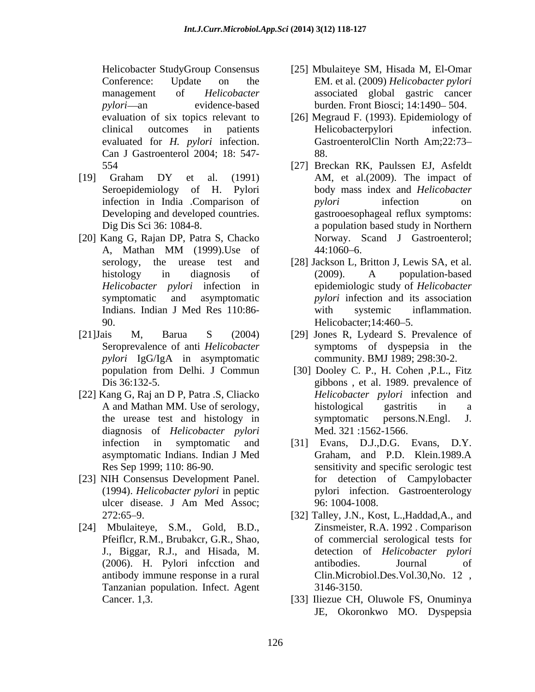Can J Gastroenterol 2004; 18: 547-

- 
- [20] Kang G, Rajan DP, Patra S, Chacko 90. Helicobacter; 14:460–5.
- *pylori* IgG/IgA in asymptomatic
- [22] Kang G, Raj an D P, Patra .S, Cliacko diagnosis of *Helicobacter pylori*
- [23] NIH Consensus Development Panel.
- [24] Mbulaiteye, S.M., Gold, B.D., J., Biggar, R.J., and Hisada, M. antibody immune response in a rural Tanzanian population. Infect. Agent
- Helicobacter StudyGroup Consensus [25] Mbulaiteye SM, Hisada M, El-Omar Conference: Update on the EM. et al. (2009) *Helicobacter pylori* management of *Helicobacter*  associated global gastric cancer pylori—an evidence-based burden. Front Biosci; 14:1490–504.
- evaluation of six topics relevant to [26] Megraud F. (1993). Epidemiology of clinical outcomes in patients evaluated for *H. pylori* infection. GastroenterolClin North Am;22:73 Helicobacterpylori infection. 88.
- 554 [27] Breckan RK, Paulssen EJ, Asfeldt [19] Graham DY et al. (1991) AM, et al. (2009). The impact of Seroepidemiology of H. Pylori body mass index and *Helicobacter*  infection in India .Comparison of *pylori* infection on Developing and developed countries. gastrooesophageal reflux symptoms: Dig Dis Sci 36: 1084-8. a population based study in Northern A, Mathan MM (1999).Use of AM, et al.(2009). The impact of *pylori* infection on Norway. Scand J Gastroenterol;  $44:1060 - 6$ .
	- serology, the urease test and [28] Jackson L, Britton J, Lewis SA, et al. histology in diagnosis of (2009). A population-based *Helicobacter pylori* infection in epidemiologic study of *Helicobacter*  symptomatic and asymptomatic *pylori* infection and its association Indians. Indian J Med Res 110:86- with systemic inflammation. (2009). A population-based with systemic inflammation. Helicobacter; 14:460–5.
- [21]Jais M, Barua S (2004) [29] Jones R, Lydeard S. Prevalence of Seroprevalence of anti *Helicobacter*  symptoms of dyspepsia in the community. BMJ 1989; 298:30-2.
	- population from Delhi. J Commun [30] Dooley C. P., H. Cohen ,P.L., Fitz Dis 36:132-5. gibbons , et al. 1989. prevalence of A and Mathan MM. Use of serology, the urease test and histology in symptomatic persons. N. Engl. J. *Helicobacter pylori* infection and histological gastritis in a symptomatic persons.N.Engl. J. Med. 321 :1562-1566.
	- infection in symptomatic and [31] Evans, D.J.,D.G. Evans, D.Y. asymptomatic Indians. Indian J Med Res Sep 1999; 110: 86-90. sensitivity and specific serologic test (1994). *Helicobacter pylori* in peptic pylori infection.Gastroenterology ulcer disease. J Am Med Assoc; Graham, and P.D. Klein.1989.A for detection of Campylobacter 96: 1004-1008.
	- 272:65 9. [32] Talley, J.N., Kost, L.,Haddad,A., and Pfeiflcr, R.M., Brubakcr, G.R., Shao, of commercial serological tests for (2006). H. Pylori infcction and Zinsmeister, R.A. 1992 . Comparison detection of *Helicobacter pylori* antibodies. Journal of Clin.Microbiol.Des.Vol.30,No. 12 , 3146-3150.
	- Cancer. 1,3. [33] Iliezue CH, Oluwole FS, Onuminya JE, Okoronkwo MO. Dyspepsia